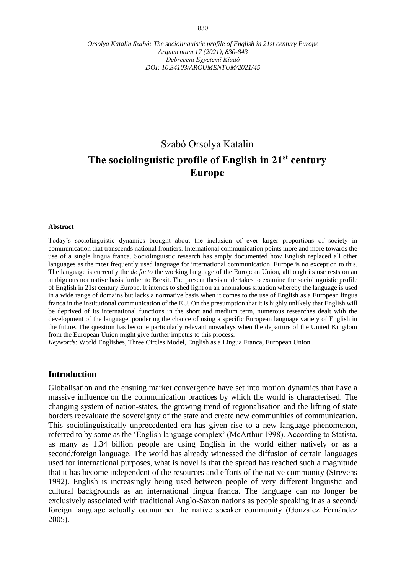# Szabó Orsolya Katalin **The sociolinguistic profile of English in 21st century Europe**

#### **Abstract**

Today's sociolinguistic dynamics brought about the inclusion of ever larger proportions of society in communication that transcends national frontiers. International communication points more and more towards the use of a single lingua franca. Sociolinguistic research has amply documented how English replaced all other languages as the most frequently used language for international communication. Europe is no exception to this. The language is currently the *de facto* the working language of the European Union, although its use rests on an ambiguous normative basis further to Brexit. The present thesis undertakes to examine the sociolinguistic profile of English in 21st century Europe. It intends to shed light on an anomalous situation whereby the language is used in a wide range of domains but lacks a normative basis when it comes to the use of English as a European lingua franca in the institutional communication of the EU. On the presumption that it is highly unlikely that English will be deprived of its international functions in the short and medium term, numerous researches dealt with the development of the language, pondering the chance of using a specific European language variety of English in the future. The question has become particularly relevant nowadays when the departure of the United Kingdom from the European Union might give further impetus to this process.

*Keywords*: World Englishes, Three Circles Model, English as a Lingua Franca, European Union

#### **Introduction**

Globalisation and the ensuing market convergence have set into motion dynamics that have a massive influence on the communication practices by which the world is characterised. The changing system of nation-states, the growing trend of regionalisation and the lifting of state borders reevaluate the sovereignty of the state and create new communities of communication. This sociolinguistically unprecedented era has given rise to a new language phenomenon, referred to by some as the 'English language complex' (McArthur 1998). According to Statista, as many as 1.34 billion people are using English in the world either natively or as a second/foreign language. The world has already witnessed the diffusion of certain languages used for international purposes, what is novel is that the spread has reached such a magnitude that it has become independent of the resources and efforts of the native community (Strevens 1992). English is increasingly being used between people of very different linguistic and cultural backgrounds as an international lingua franca. The language can no longer be exclusively associated with traditional Anglo-Saxon nations as people speaking it as a second/ foreign language actually outnumber the native speaker community (González Fernández 2005).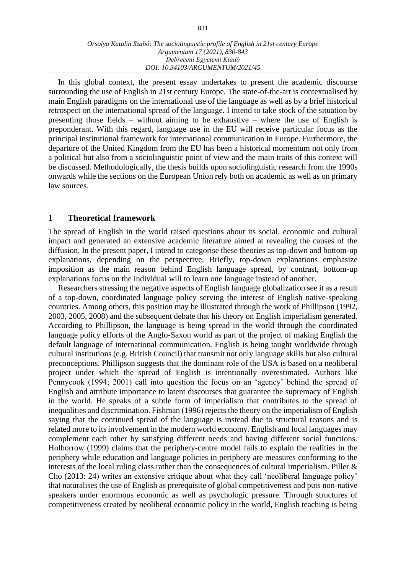In this global context, the present essay undertakes to present the academic discourse surrounding the use of English in 21st century Europe. The state-of-the-art is contextualised by main English paradigms on the international use of the language as well as by a brief historical retrospect on the international spread of the language. I intend to take stock of the situation by presenting those fields – without aiming to be exhaustive – where the use of English is preponderant. With this regard, language use in the EU will receive particular focus as the principal institutional framework for international communication in Europe. Furthermore, the departure of the United Kingdom from the EU has been a historical momentum not only from a political but also from a sociolinguistic point of view and the main traits of this context will be discussed. Methodologically, the thesis builds upon sociolinguistic research from the 1990s onwards while the sections on the European Union rely both on academic as well as on primary law sources.

## **1 Theoretical framework**

The spread of English in the world raised questions about its social, economic and cultural impact and generated an extensive academic literature aimed at revealing the causes of the diffusion. In the present paper, I intend to categorise these theories as top-down and bottom-up explanations, depending on the perspective. Briefly, top-down explanations emphasize imposition as the main reason behind English language spread, by contrast, bottom-up explanations focus on the individual will to learn one language instead of another.

Researchers stressing the negative aspects of English language globalization see it as a result of a top-down, coordinated language policy serving the interest of English native-speaking countries. Among others, this position may be illustrated through the work of Phillipson (1992, 2003, 2005, 2008) and the subsequent debate that his theory on English imperialism generated. According to Phillipson, the language is being spread in the world through the coordinated language policy efforts of the Anglo-Saxon world as part of the project of making English the default language of international communication. English is being taught worldwide through cultural institutions (e.g. British Council) that transmit not only language skills but also cultural preconceptions. Phillipson suggests that the dominant role of the USA is based on a neoliberal project under which the spread of English is intentionally overestimated. Authors like Pennycook (1994; 2001) call into question the focus on an 'agency' behind the spread of English and attribute importance to latent discourses that guarantee the supremacy of English in the world. He speaks of a subtle form of imperialism that contributes to the spread of inequalities and discrimination. Fishman (1996) rejects the theory on the imperialism of English saying that the continued spread of the language is instead due to structural reasons and is related more to its involvement in the modern world economy. English and local languages may complement each other by satisfying different needs and having different social functions. Holborrow (1999) claims that the periphery-centre model fails to explain the realities in the periphery while education and language policies in periphery are measures conforming to the interests of the local ruling class rather than the consequences of cultural imperialism. Piller & Cho (2013: 24) writes an extensive critique about what they call 'neoliberal language policy' that naturalises the use of English as prerequisite of global competitiveness and puts non-native speakers under enormous economic as well as psychologic pressure. Through structures of competitiveness created by neoliberal economic policy in the world, English teaching is being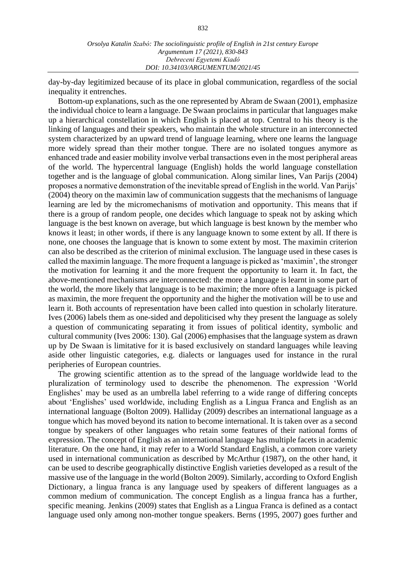day-by-day legitimized because of its place in global communication, regardless of the social inequality it entrenches.

Bottom-up explanations, such as the one represented by Abram de Swaan (2001), emphasize the individual choice to learn a language. De Swaan proclaims in particular that languages make up a hierarchical constellation in which English is placed at top. Central to his theory is the linking of languages and their speakers, who maintain the whole structure in an interconnected system characterized by an upward trend of language learning, where one learns the language more widely spread than their mother tongue. There are no isolated tongues anymore as enhanced trade and easier mobility involve verbal transactions even in the most peripheral areas of the world. The hypercentral language (English) holds the world language constellation together and is the language of global communication. Along similar lines, Van Parijs (2004) proposes a normative demonstration of the inevitable spread of English in the world. Van Parijs' (2004) theory on the maximin law of communication suggests that the mechanisms of language learning are led by the micromechanisms of motivation and opportunity. This means that if there is a group of random people, one decides which language to speak not by asking which language is the best known on average, but which language is best known by the member who knows it least; in other words, if there is any language known to some extent by all. If there is none, one chooses the language that is known to some extent by most. The maximin criterion can also be described as the criterion of minimal exclusion. The language used in these cases is called the maximin language. The more frequent a language is picked as 'maximin', the stronger the motivation for learning it and the more frequent the opportunity to learn it. In fact, the above-mentioned mechanisms are interconnected: the more a language is learnt in some part of the world, the more likely that language is to be maximin; the more often a language is picked as maximin, the more frequent the opportunity and the higher the motivation will be to use and learn it. Both accounts of representation have been called into question in scholarly literature. Ives (2006) labels them as one-sided and depoliticised why they present the language as solely a question of communicating separating it from issues of political identity, symbolic and cultural community (Ives 2006: 130). Gal (2006) emphasises that the language system as drawn up by De Swaan is limitative for it is based exclusively on standard languages while leaving aside other linguistic categories, e.g. dialects or languages used for instance in the rural peripheries of European countries.

The growing scientific attention as to the spread of the language worldwide lead to the pluralization of terminology used to describe the phenomenon. The expression 'World Englishes' may be used as an umbrella label referring to a wide range of differing concepts about 'Englishes' used worldwide, including English as a Lingua Franca and English as an international language (Bolton 2009). Halliday (2009) describes an international language as a tongue which has moved beyond its nation to become international. It is taken over as a second tongue by speakers of other languages who retain some features of their national forms of expression. The concept of English as an international language has multiple facets in academic literature. On the one hand, it may refer to a World Standard English, a common core variety used in international communication as described by McArthur (1987), on the other hand, it can be used to describe geographically distinctive English varieties developed as a result of the massive use of the language in the world (Bolton 2009). Similarly, according to Oxford English Dictionary, a lingua franca is any language used by speakers of different languages as a common medium of communication. The concept English as a lingua franca has a further, specific meaning. Jenkins (2009) states that English as a Lingua Franca is defined as a contact language used only among non-mother tongue speakers. Berns (1995, 2007) goes further and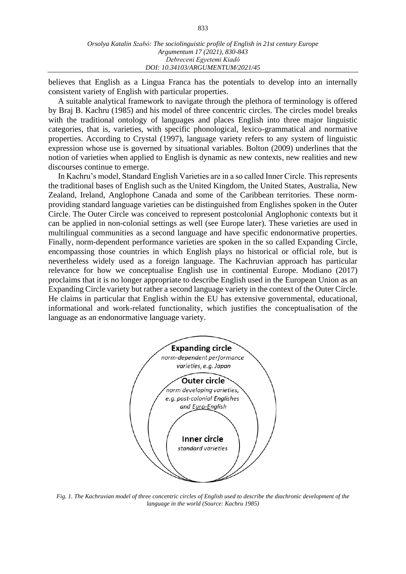believes that English as a Lingua Franca has the potentials to develop into an internally consistent variety of English with particular properties.

A suitable analytical framework to navigate through the plethora of terminology is offered by Braj B. Kachru (1985) and his model of three concentric circles. The circles model breaks with the traditional ontology of languages and places English into three major linguistic categories, that is, varieties, with specific phonological, lexico-grammatical and normative properties. According to Crystal (1997), language variety refers to any system of linguistic expression whose use is governed by situational variables. Bolton (2009) underlines that the notion of varieties when applied to English is dynamic as new contexts, new realities and new discourses continue to emerge.

In Kachru's model, Standard English Varieties are in a so called Inner Circle. This represents the traditional bases of English such as the United Kingdom, the United States, Australia, New Zealand, Ireland, Anglophone Canada and some of the Caribbean territories. These normproviding standard language varieties can be distinguished from Englishes spoken in the Outer Circle. The Outer Circle was conceived to represent postcolonial Anglophonic contexts but it can be applied in non-colonial settings as well (see Europe later). These varieties are used in multilingual communities as a second language and have specific endonormative properties. Finally, norm-dependent performance varieties are spoken in the so called Expanding Circle, encompassing those countries in which English plays no historical or official role, but is nevertheless widely used as a foreign language. The Kachruvian approach has particular relevance for how we conceptualise English use in continental Europe. Modiano (2017) proclaims that it is no longer appropriate to describe English used in the European Union as an Expanding Circle variety but rather a second language variety in the context of the Outer Circle. He claims in particular that English within the EU has extensive governmental, educational, informational and work-related functionality, which justifies the conceptualisation of the language as an endonormative language variety.



*Fig. 1. The Kachruvian model of three concentric circles of English used to describe the diachronic development of the language in the world (Source: Kachru 1985)*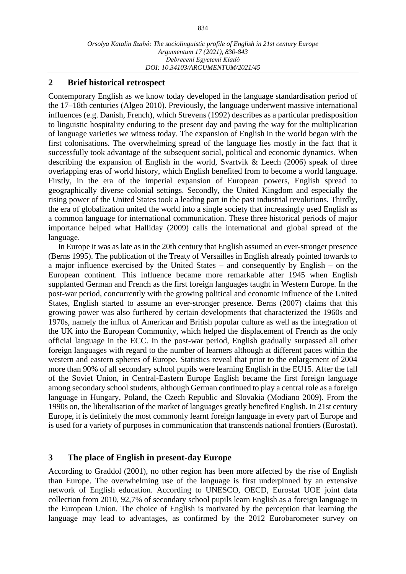## **2 Brief historical retrospect**

Contemporary English as we know today developed in the language standardisation period of the 17–18th centuries (Algeo 2010). Previously, the language underwent massive international influences (e.g. Danish, French), which Strevens (1992) describes as a particular predisposition to linguistic hospitality enduring to the present day and paving the way for the multiplication of language varieties we witness today. The expansion of English in the world began with the first colonisations. The overwhelming spread of the language lies mostly in the fact that it successfully took advantage of the subsequent social, political and economic dynamics. When describing the expansion of English in the world, Svartvik & Leech (2006) speak of three overlapping eras of world history, which English benefited from to become a world language. Firstly, in the era of the imperial expansion of European powers, English spread to geographically diverse colonial settings. Secondly, the United Kingdom and especially the rising power of the United States took a leading part in the past industrial revolutions. Thirdly, the era of globalization united the world into a single society that increasingly used English as a common language for international communication. These three historical periods of major importance helped what Halliday (2009) calls the international and global spread of the language.

In Europe it was as late as in the 20th century that English assumed an ever-stronger presence (Berns 1995). The publication of the Treaty of Versailles in English already pointed towards to a major influence exercised by the United States – and consequently by English – on the European continent. This influence became more remarkable after 1945 when English supplanted German and French as the first foreign languages taught in Western Europe. In the post-war period, concurrently with the growing political and economic influence of the United States, English started to assume an ever-stronger presence. Berns (2007) claims that this growing power was also furthered by certain developments that characterized the 1960s and 1970s, namely the influx of American and British popular culture as well as the integration of the UK into the European Community, which helped the displacement of French as the only official language in the ECC. In the post-war period, English gradually surpassed all other foreign languages with regard to the number of learners although at different paces within the western and eastern spheres of Europe. Statistics reveal that prior to the enlargement of 2004 more than 90% of all secondary school pupils were learning English in the EU15. After the fall of the Soviet Union, in Central-Eastern Europe English became the first foreign language among secondary school students, although German continued to play a central role as a foreign language in Hungary, Poland, the Czech Republic and Slovakia (Modiano 2009). From the 1990s on, the liberalisation of the market of languages greatly benefited English. In 21st century Europe, it is definitely the most commonly learnt foreign language in every part of Europe and is used for a variety of purposes in communication that transcends national frontiers (Eurostat).

## **3 The place of English in present-day Europe**

According to Graddol (2001), no other region has been more affected by the rise of English than Europe. The overwhelming use of the language is first underpinned by an extensive network of English education. According to UNESCO, OECD, Eurostat UOE joint data collection from 2010, 92,7% of secondary school pupils learn English as a foreign language in the European Union. The choice of English is motivated by the perception that learning the language may lead to advantages, as confirmed by the 2012 Eurobarometer survey on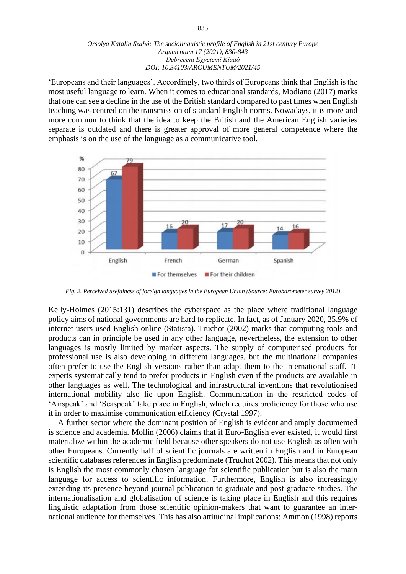'Europeans and their languages'. Accordingly, two thirds of Europeans think that English is the most useful language to learn. When it comes to educational standards, Modiano (2017) marks that one can see a decline in the use of the British standard compared to past times when English teaching was centred on the transmission of standard English norms. Nowadays, it is more and more common to think that the idea to keep the British and the American English varieties separate is outdated and there is greater approval of more general competence where the emphasis is on the use of the language as a communicative tool.



*Fig. 2. Perceived usefulness of foreign languages in the European Union (Source: Eurobarometer survey 2012)*

Kelly-Holmes (2015:131) describes the cyberspace as the place where traditional language policy aims of national governments are hard to replicate. In fact, as of January 2020, 25.9% of internet users used English online (Statista). Truchot (2002) marks that computing tools and products can in principle be used in any other language, nevertheless, the extension to other languages is mostly limited by market aspects. The supply of computerised products for professional use is also developing in different languages, but the multinational companies often prefer to use the English versions rather than adapt them to the international staff. IT experts systematically tend to prefer products in English even if the products are available in other languages as well. The technological and infrastructural inventions that revolutionised international mobility also lie upon English. Communication in the restricted codes of 'Airspeak' and 'Seaspeak' take place in English, which requires proficiency for those who use it in order to maximise communication efficiency (Crystal 1997).

A further sector where the dominant position of English is evident and amply documented is science and academia. Mollin (2006) claims that if Euro-English ever existed, it would first materialize within the academic field because other speakers do not use English as often with other Europeans. Currently half of scientific journals are written in English and in European scientific databases references in English predominate (Truchot 2002). This means that not only is English the most commonly chosen language for scientific publication but is also the main language for access to scientific information. Furthermore, English is also increasingly extending its presence beyond journal publication to graduate and post-graduate studies. The internationalisation and globalisation of science is taking place in English and this requires linguistic adaptation from those scientific opinion-makers that want to guarantee an international audience for themselves. This has also attitudinal implications: Ammon (1998) reports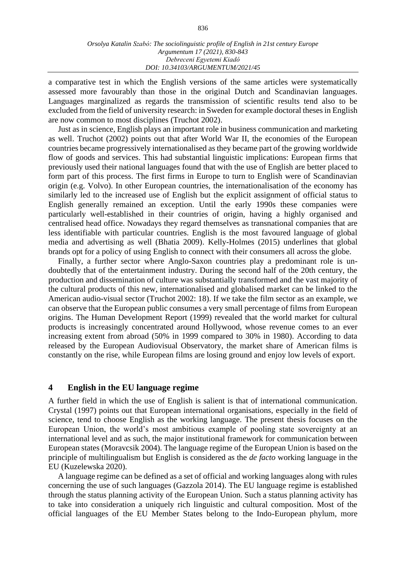a comparative test in which the English versions of the same articles were systematically assessed more favourably than those in the original Dutch and Scandinavian languages. Languages marginalized as regards the transmission of scientific results tend also to be excluded from the field of university research: in Sweden for example doctoral theses in English are now common to most disciplines (Truchot 2002).

Just as in science, English plays an important role in business communication and marketing as well. Truchot (2002) points out that after World War II, the economies of the European countries became progressively internationalised as they became part of the growing worldwide flow of goods and services. This had substantial linguistic implications: European firms that previously used their national languages found that with the use of English are better placed to form part of this process. The first firms in Europe to turn to English were of Scandinavian origin (e.g. Volvo). In other European countries, the internationalisation of the economy has similarly led to the increased use of English but the explicit assignment of official status to English generally remained an exception. Until the early 1990s these companies were particularly well-established in their countries of origin, having a highly organised and centralised head office. Nowadays they regard themselves as transnational companies that are less identifiable with particular countries. English is the most favoured language of global media and advertising as well (Bhatia 2009). Kelly-Holmes (2015) underlines that global brands opt for a policy of using English to connect with their consumers all across the globe.

Finally, a further sector where Anglo-Saxon countries play a predominant role is undoubtedly that of the entertainment industry. During the second half of the 20th century, the production and dissemination of culture was substantially transformed and the vast majority of the cultural products of this new, internationalised and globalised market can be linked to the American audio-visual sector (Truchot 2002: 18). If we take the film sector as an example, we can observe that the European public consumes a very small percentage of films from European origins. The Human Development Report (1999) revealed that the world market for cultural products is increasingly concentrated around Hollywood, whose revenue comes to an ever increasing extent from abroad (50% in 1999 compared to 30% in 1980). According to data released by the European Audiovisual Observatory, the market share of American films is constantly on the rise, while European films are losing ground and enjoy low levels of export.

## **4 English in the EU language regime**

A further field in which the use of English is salient is that of international communication. Crystal (1997) points out that European international organisations, especially in the field of science, tend to choose English as the working language. The present thesis focuses on the European Union, the world's most ambitious example of pooling state sovereignty at an international level and as such, the major institutional framework for communication between European states (Moravcsik 2004). The language regime of the European Union is based on the principle of multilingualism but English is considered as the *de facto* working language in the EU (Kuzelewska 2020).

A language regime can be defined as a set of official and working languages along with rules concerning the use of such languages (Gazzola 2014). The EU language regime is established through the status planning activity of the European Union. Such a status planning activity has to take into consideration a uniquely rich linguistic and cultural composition. Most of the official languages of the EU Member States belong to the Indo-European phylum, more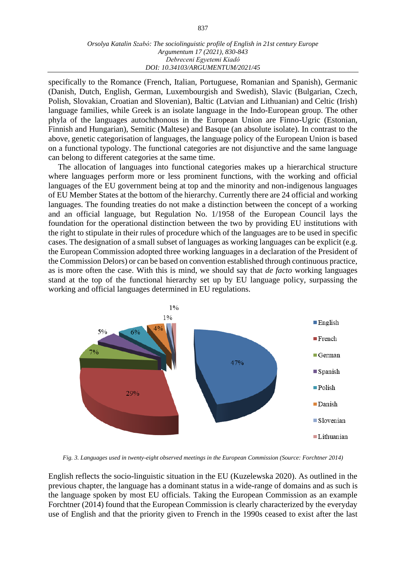#### *Orsolya Katalin Szabó: The sociolinguistic profile of English in 21st century Europe Argumentum 17 (2021), 830-843 Debreceni Egyetemi Kiadó DOI: 10.34103/ARGUMENTUM/2021/45*

specifically to the Romance (French, Italian, Portuguese, Romanian and Spanish), Germanic (Danish, Dutch, English, German, Luxembourgish and Swedish), Slavic (Bulgarian, Czech, Polish, Slovakian, Croatian and Slovenian), Baltic (Latvian and Lithuanian) and Celtic (Irish) language families, while Greek is an isolate language in the Indo-European group. The other phyla of the languages autochthonous in the European Union are Finno-Ugric (Estonian, Finnish and Hungarian), Semitic (Maltese) and Basque (an absolute isolate). In contrast to the above, genetic categorisation of languages, the language policy of the European Union is based on a functional typology. The functional categories are not disjunctive and the same language can belong to different categories at the same time.

The allocation of languages into functional categories makes up a hierarchical structure where languages perform more or less prominent functions, with the working and official languages of the EU government being at top and the minority and non-indigenous languages of EU Member States at the bottom of the hierarchy. Currently there are 24 official and working languages. The founding treaties do not make a distinction between the concept of a working and an official language, but Regulation No. 1/1958 of the European Council lays the foundation for the operational distinction between the two by providing EU institutions with the right to stipulate in their rules of procedure which of the languages are to be used in specific cases. The designation of a small subset of languages as working languages can be explicit (e.g. the European Commission adopted three working languages in a declaration of the President of the Commission Delors) or can be based on convention established through continuous practice, as is more often the case. With this is mind, we should say that *de facto* working languages stand at the top of the functional hierarchy set up by EU language policy, surpassing the working and official languages determined in EU regulations.



*Fig. 3. Languages used in twenty-eight observed meetings in the European Commission (Source: Forchtner 2014)*

English reflects the socio-linguistic situation in the EU (Kuzelewska 2020). As outlined in the previous chapter, the language has a dominant status in a wide-range of domains and as such is the language spoken by most EU officials. Taking the European Commission as an example Forchtner (2014) found that the European Commission is clearly characterized by the everyday use of English and that the priority given to French in the 1990s ceased to exist after the last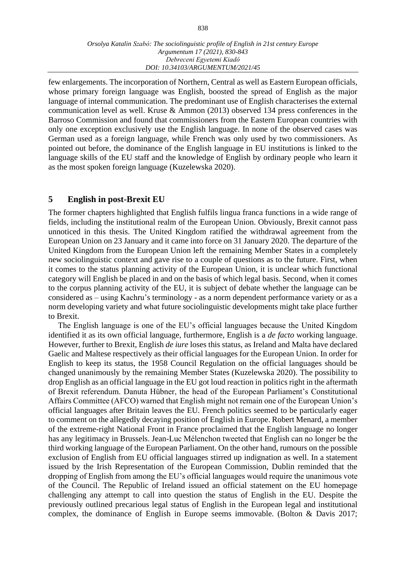few enlargements. The incorporation of Northern, Central as well as Eastern European officials, whose primary foreign language was English, boosted the spread of English as the major language of internal communication. The predominant use of English characterises the external communication level as well. Kruse & Ammon (2013) observed 134 press conferences in the Barroso Commission and found that commissioners from the Eastern European countries with only one exception exclusively use the English language. In none of the observed cases was German used as a foreign language, while French was only used by two commissioners. As pointed out before, the dominance of the English language in EU institutions is linked to the language skills of the EU staff and the knowledge of English by ordinary people who learn it as the most spoken foreign language (Kuzelewska 2020).

## **5 English in post-Brexit EU**

The former chapters highlighted that English fulfils lingua franca functions in a wide range of fields, including the institutional realm of the European Union. Obviously, Brexit cannot pass unnoticed in this thesis. The United Kingdom ratified the withdrawal agreement from the European Union on 23 January and it came into force on 31 January 2020. The departure of the United Kingdom from the European Union left the remaining Member States in a completely new sociolinguistic context and gave rise to a couple of questions as to the future. First, when it comes to the status planning activity of the European Union, it is unclear which functional category will English be placed in and on the basis of which legal basis. Second, when it comes to the corpus planning activity of the EU, it is subject of debate whether the language can be considered as – using Kachru's terminology - as a norm dependent performance variety or as a norm developing variety and what future sociolinguistic developments might take place further to Brexit.

The English language is one of the EU's official languages because the United Kingdom identified it as its own official language, furthermore, English is a *de facto* working language. However, further to Brexit, English *de iure* loses this status, as Ireland and Malta have declared Gaelic and Maltese respectively as their official languages for the European Union. In order for English to keep its status, the 1958 Council Regulation on the official languages should be changed unanimously by the remaining Member States (Kuzelewska 2020). The possibility to drop English as an official language in the EU got loud reaction in politics right in the aftermath of Brexit referendum. Danuta Hübner, the head of the European Parliament's Constitutional Affairs Committee (AFCO) warned that English might not remain one of the European Union's official languages after Britain leaves the EU. French politics seemed to be particularly eager to comment on the allegedly decaying position of English in Europe. Robert Menard, a member of the extreme-right National Front in France proclaimed that the English language no longer has any legitimacy in Brussels. Jean-Luc Mélenchon tweeted that English can no longer be the third working language of the European Parliament. On the other hand, rumours on the possible exclusion of English from EU official languages stirred up indignation as well. In a statement issued by the Irish Representation of the European Commission, Dublin reminded that the dropping of English from among the EU's official languages would require the unanimous vote of the Council. The Republic of Ireland issued an official statement on the EU homepage challenging any attempt to call into question the status of English in the EU. Despite the previously outlined precarious legal status of English in the European legal and institutional complex, the dominance of English in Europe seems immovable. (Bolton & Davis 2017;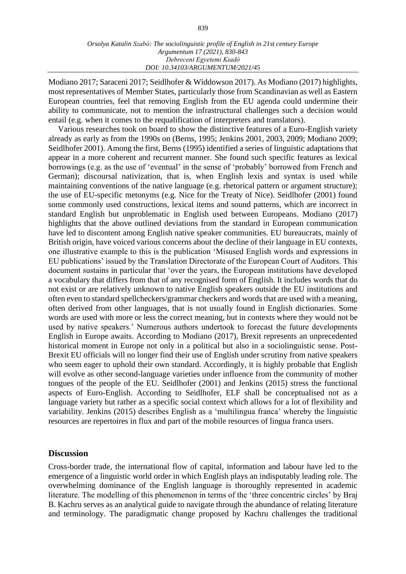Modiano 2017; Saraceni 2017; Seidlhofer & Widdowson 2017). As Modiano (2017) highlights, most representatives of Member States, particularly those from Scandinavian as well as Eastern European countries, feel that removing English from the EU agenda could undermine their ability to communicate, not to mention the infrastructural challenges such a decision would entail (e.g. when it comes to the requalification of interpreters and translators).

Various researches took on board to show the distinctive features of a Euro-English variety already as early as from the 1990s on (Berns, 1995; Jenkins 2001, 2003, 2009; Modiano 2009; Seidlhofer 2001). Among the first, Berns (1995) identified a series of linguistic adaptations that appear in a more coherent and recurrent manner. She found such specific features as lexical borrowings (e.g. as the use of 'eventual' in the sense of 'probably' borrowed from French and German); discoursal nativization, that is, when English lexis and syntax is used while maintaining conventions of the native language (e.g. rhetorical pattern or argument structure); the use of EU-specific metonyms (e.g. Nice for the Treaty of Nice). Seidlhofer (2001) found some commonly used constructions, lexical items and sound patterns, which are incorrect in standard English but unproblematic in English used between Europeans. Modiano (2017) highlights that the above outlined deviations from the standard in European communication have led to discontent among English native speaker communities. EU bureaucrats, mainly of British origin, have voiced various concerns about the decline of their language in EU contexts, one illustrative example to this is the publication 'Misused English words and expressions in EU publications' issued by the Translation Directorate of the European Court of Auditors. This document sustains in particular that 'over the years, the European institutions have developed a vocabulary that differs from that of any recognised form of English. It includes words that do not exist or are relatively unknown to native English speakers outside the EU institutions and often even to standard spellcheckers/grammar checkers and words that are used with a meaning, often derived from other languages, that is not usually found in English dictionaries. Some words are used with more or less the correct meaning, but in contexts where they would not be used by native speakers.' Numerous authors undertook to forecast the future developments English in Europe awaits. According to Modiano (2017), Brexit represents an unprecedented historical moment in Europe not only in a political but also in a sociolinguistic sense. Post-Brexit EU officials will no longer find their use of English under scrutiny from native speakers who seem eager to uphold their own standard. Accordingly, it is highly probable that English will evolve as other second-language varieties under influence from the community of mother tongues of the people of the EU. Seidlhofer (2001) and Jenkins (2015) stress the functional aspects of Euro-English. According to Seidlhofer, ELF shall be conceptualised not as a language variety but rather as a specific social context which allows for a lot of flexibility and variability. Jenkins (2015) describes English as a 'multilingua franca' whereby the linguistic resources are repertoires in flux and part of the mobile resources of lingua franca users.

### **Discussion**

Cross-border trade, the international flow of capital, information and labour have led to the emergence of a linguistic world order in which English plays an indisputably leading role. The overwhelming dominance of the English language is thoroughly represented in academic literature. The modelling of this phenomenon in terms of the 'three concentric circles' by Braj B. Kachru serves as an analytical guide to navigate through the abundance of relating literature and terminology. The paradigmatic change proposed by Kachru challenges the traditional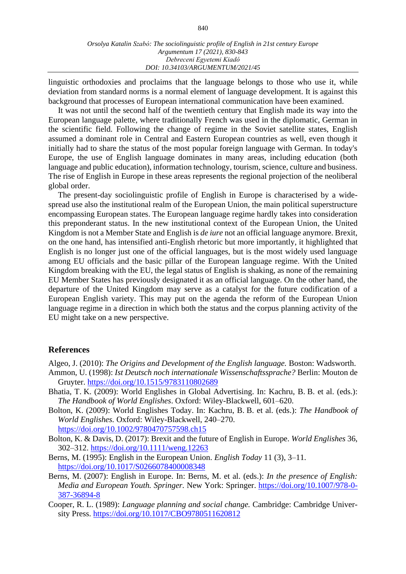linguistic orthodoxies and proclaims that the language belongs to those who use it, while deviation from standard norms is a normal element of language development. It is against this background that processes of European international communication have been examined.

It was not until the second half of the twentieth century that English made its way into the European language palette, where traditionally French was used in the diplomatic, German in the scientific field. Following the change of regime in the Soviet satellite states, English assumed a dominant role in Central and Eastern European countries as well, even though it initially had to share the status of the most popular foreign language with German. In today's Europe, the use of English language dominates in many areas, including education (both language and public education), information technology, tourism, science, culture and business. The rise of English in Europe in these areas represents the regional projection of the neoliberal global order.

The present-day sociolinguistic profile of English in Europe is characterised by a widespread use also the institutional realm of the European Union, the main political superstructure encompassing European states. The European language regime hardly takes into consideration this preponderant status. In the new institutional context of the European Union, the United Kingdom is not a Member State and English is *de iure* not an official language anymore. Brexit, on the one hand, has intensified anti-English rhetoric but more importantly, it highlighted that English is no longer just one of the official languages, but is the most widely used language among EU officials and the basic pillar of the European language regime. With the United Kingdom breaking with the EU, the legal status of English is shaking, as none of the remaining EU Member States has previously designated it as an official language. On the other hand, the departure of the United Kingdom may serve as a catalyst for the future codification of a European English variety. This may put on the agenda the reform of the European Union language regime in a direction in which both the status and the corpus planning activity of the EU might take on a new perspective.

#### **References**

Algeo, J. (2010): *The Origins and Development of the English language.* Boston: Wadsworth.

- Ammon, U. (1998): *Ist Deutsch noch internationale Wissenschaftssprache?* Berlin: Mouton de Gruyter.<https://doi.org/10.1515/9783110802689>
- Bhatia, T. K. (2009): World Englishes in Global Advertising. In: Kachru, B. B. et al. (eds.): *The Handbook of World Englishes*. Oxford: Wiley-Blackwell, 601–620.
- Bolton, K. (2009): World Englishes Today. In: Kachru, B. B. et al. (eds.): *The Handbook of World Englishes.* Oxford: Wiley-Blackwell, 240–270. <https://doi.org/10.1002/9780470757598.ch15>
- Bolton, K. & Davis, D. (2017): Brexit and the future of English in Europe. *World Englishes* 36, 302–312.<https://doi.org/10.1111/weng.12263>
- Berns, M. (1995): English in the European Union. *English Today* 11 (3), 3–11. <https://doi.org/10.1017/S0266078400008348>
- Berns, M. (2007): English in Europe. In: Berns, M. et al. (eds.): *In the presence of English: Media and European Youth. Springer.* New York: Springer. [https://doi.org/10.1007/978-0-](https://doi.org/10.1007/978-0-387-36894-8) [387-36894-8](https://doi.org/10.1007/978-0-387-36894-8)
- Cooper, R. L. (1989): *Language planning and social change.* Cambridge: Cambridge University Press.<https://doi.org/10.1017/CBO9780511620812>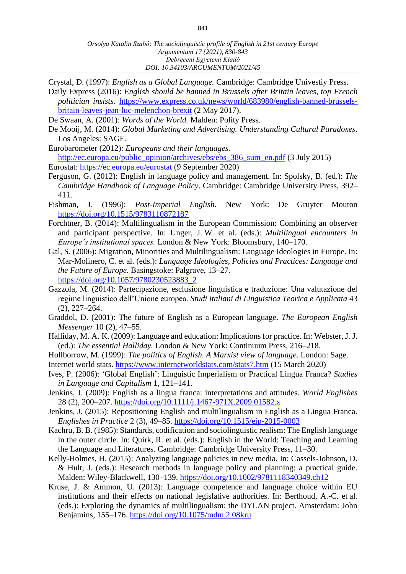- Crystal, D. (1997): *English as a Global Language.* Cambridge: Cambridge Univestiy Press. Daily Express (2016): *English should be banned in Brussels after Britain leaves, top French politician insists.* [https://www.express.co.uk/news/world/683980/english-banned-brussels](https://www.express.co.uk/news/world/683980/english-banned-brussels-britain-leaves-jean-luc-melenchon-brexit)[britain-leaves-jean-luc-melenchon-brexit](https://www.express.co.uk/news/world/683980/english-banned-brussels-britain-leaves-jean-luc-melenchon-brexit) (2 May 2017).
- De Swaan, A. (2001): *Words of the World.* Malden: Polity Press.
- De Mooij, M. (2014): *Global Marketing and Advertising. Understanding Cultural Paradoxes*. Los Angeles: SAGE.
- Eurobarometer (2012): *Europeans and their languages.* [http://ec.europa.eu/public\\_opinion/archives/ebs/ebs\\_386\\_sum\\_en.pdf](http://ec.europa.eu/public_opinion/archives/ebs/ebs_386_sum_en.pdf) (3 July 2015)
- Eurostat: <https://ec.europa.eu/eurostat> (9 September 2020)
- Ferguson, G. (2012): English in language policy and management. In: Spolsky, B. (ed.): *The Cambridge Handbook of Language Policy*. Cambridge: Cambridge University Press, 392– 411.
- Fishman, J. (1996): *Post-Imperial English.* New York: De Gruyter Mouton <https://doi.org/10.1515/9783110872187>
- Forchtner, B. (2014): Multilingualism in the European Commission: Combining an observer and participant perspective. In: Unger, J. W. et al. (eds.): *Multilingual encounters in Europe's institutional spaces.* London & New York: Bloomsbury, 140–170.
- Gal, S. (2006): Migration, Minorities and Multilingualism: Language Ideologies in Europe. In: Mar-Molinero, C. et al. (eds.): *Language Ideologies, Policies and Practices: Language and the Future of Europe.* Basingstoke: Palgrave, 13–27. [https://doi.org/10.1057/9780230523883\\_2](https://doi.org/10.1057/9780230523883_2)
- Gazzola, M. (2014): Partecipazione, esclusione linguistica e traduzione: Una valutazione del regime linguistico dell'Unione europea. *Studi italiani di Linguistica Teorica e Applicata* 43 (2), 227–264.
- Graddol, D. (2001): The future of English as a European language. *The European English Messenger* 10 (2), 47–55.
- Halliday, M. A. K. (2009): Language and education: Implications for practice. In: Webster, J. J. (ed.): *The essential Halliday.* London & New York: Continuum Press, 216–218.
- Hollborrow, M. (1999): *The politics of English. A Marxist view of language*. London: Sage. Internet world stats. <https://www.internetworldstats.com/stats7.htm> (15 March 2020)
- Ives, P. (2006): 'Global English': Linguistic Imperialism or Practical Lingua Franca? *Studies in Language and Capitalism* 1, 121–141.
- Jenkins, J. (2009): English as a lingua franca: interpretations and attitudes. *World Englishes* 28 (2), 200–207.<https://doi.org/10.1111/j.1467-971X.2009.01582.x>
- Jenkins, J. (2015): Repositioning English and multilingualism in English as a Lingua Franca. *Englishes in Practice* 2 (3), 49–85. <https://doi.org/10.1515/eip-2015-0003>
- Kachru, B. B. (1985): Standards, codification and sociolinguistic realism: The English language in the outer circle. In: Quirk, R. et al. (eds.): English in the World: Teaching and Learning the Language and Literatures. Cambridge: Cambridge University Press, 11–30.
- Kelly-Holmes, H. (2015): Analyzing language policies in new media. In: Cassels-Johnson, D. & Hult, J. (eds.): Research methods in language policy and planning: a practical guide. Malden: Wiley-Blackwell, 130–139. <https://doi.org/10.1002/9781118340349.ch12>
- Kruse, J. & Ammon, U. (2013): Language competence and language choice within EU institutions and their effects on national legislative authorities. In: Berthoud, A.-C. et al. (eds.): Exploring the dynamics of multilingualism: the DYLAN project. Amsterdam: John Benjamins, 155–176. <https://doi.org/10.1075/mdm.2.08kru>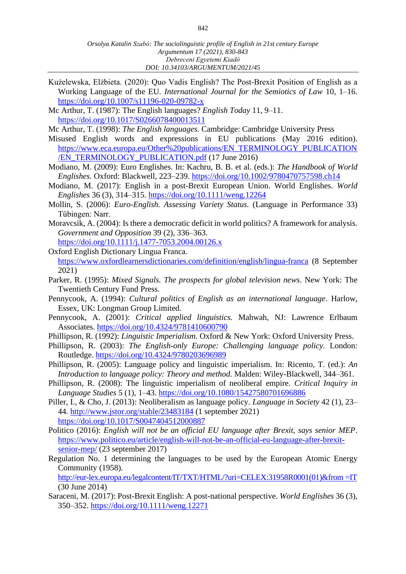Kużelewska, Elżbieta. (2020): Quo Vadis English? The Post‐Brexit Position of English as a Working Language of the EU. *International Journal for the Semiotics of Law* 10, 1–16. <https://doi.org/10.1007/s11196-020-09782-x>

Mc Arthur, T. (1987): The English languages? *English Today* 11, 9–11. <https://doi.org/10.1017/S0266078400013511>

Mc Arthur, T. (1998): *The English languages.* Cambridge: Cambridge University Press

- Misused English words and expressions in EU publications (May 2016 edition). [https://www.eca.europa.eu/Other%20publications/EN\\_TERMINOLOGY\\_PUBLICATION](https://www.eca.europa.eu/Other%20publications/EN_TERMINOLOGY_PUBLICATION/EN_TERMINOLOGY_PUBLICATION.pdf) [/EN\\_TERMINOLOGY\\_PUBLICATION.pdf](https://www.eca.europa.eu/Other%20publications/EN_TERMINOLOGY_PUBLICATION/EN_TERMINOLOGY_PUBLICATION.pdf) (17 June 2016)
- Modiano, M. (2009): Euro Englishes. In: Kachru, B. B. et al. (eds.): *The Handbook of World Englishes.* Oxford: Blackwell, 223–239. <https://doi.org/10.1002/9780470757598.ch14>
- Modiano, M. (2017): English in a post-Brexit European Union. World Englishes. *World Englishes* 36 (3), 314–315.<https://doi.org/10.1111/weng.12264>
- Mollin, S. (2006): *Euro-English. Assessing Variety Status.* (Language in Performance 33) Tübingen: Narr.
- Moravcsik, A. (2004): Is there a democratic deficit in world politics? A framework for analysis. *Government and Opposition* 39 (2), 336–363.

<https://doi.org/10.1111/j.1477-7053.2004.00126.x>

- Oxford English Dictionary Lingua Franca. <https://www.oxfordlearnersdictionaries.com/definition/english/lingua-franca> (8 September 2021)
- Parker, R. (1995): *Mixed Signals. The prospects for global television news*. New York: The Twentieth Century Fund Press.
- Pennycook, A. (1994): *Cultural politics of English as an international language*. Harlow, Essex, UK: Longman Group Limited.
- Pennycook, A. (2001): *Critical applied linguistics.* Mahwah, NJ: Lawrence Erlbaum Associates. <https://doi.org/10.4324/9781410600790>
- Phillipson, R. (1992): *Linguistic Imperialism.* Oxford & New York: Oxford University Press.
- Phillipson, R. (2003): *The English-only Europe: Challenging language policy.* London: Routledge.<https://doi.org/10.4324/9780203696989>
- Phillipson, R. (2005): Language policy and linguistic imperialism. In: Ricento, T. (ed.): *An Introduction to language policy: Theory and method.* Malden: Wiley-Blackwell, 344–361.
- Phillipson, R. (2008): The linguistic imperialism of neoliberal empire. *Critical Inquiry in Language Studies* 5 (1), 1–43.<https://doi.org/10.1080/15427580701696886>
- Piller, I., & Cho, J. (2013): Neoliberalism as language policy. *Language in Society* 42 (1), 23– 44.<http://www.jstor.org/stable/23483184> (1 september 2021) <https://doi.org/10.1017/S0047404512000887>
- Politico (2016): *English will not be an official EU language after Brexit, says senior MEP*. [https://www.politico.eu/article/english-will-not-be-an-official-eu-language-after-brexit](https://www.politico.eu/article/english-will-not-be-an-official-eu-language-after-brexit-senior-mep/)[senior-mep/](https://www.politico.eu/article/english-will-not-be-an-official-eu-language-after-brexit-senior-mep/) (23 september 2017)
- Regulation No. 1 determining the languages to be used by the European Atomic Energy Community (1958).

[http://eur-lex.europa.eu/legalcontent/IT/TXT/HTML/?uri=CELEX:31958R0001\(01\)&from =IT](http://eur-lex.europa.eu/legalcontent/IT/TXT/HTML/?uri=CELEX:31958R0001(01)&from%20=IT) (30 June 2014)

Saraceni, M. (2017): Post-Brexit English: A post-national perspective. *World Englishes* 36 (3), 350–352. <https://doi.org/10.1111/weng.12271>